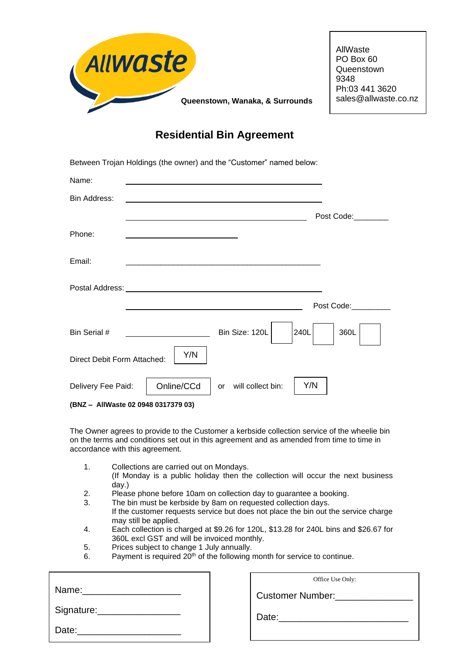

PO Box 60 **Queenstown** Ph:03 441 3620 sales@allwaste.co.nz

# **Residential Bin Agreement**

|                             | Between Trojan Holdings (the owner) and the "Customer" named below:                       |
|-----------------------------|-------------------------------------------------------------------------------------------|
| Name:                       | <u> 1980 - John Stein, mars and de Britain (b. 1980)</u>                                  |
| Bin Address:                | <u> 1989 - Johann Barbara, martxa alemaniar argametria (h. 1989).</u>                     |
|                             | Post Code:                                                                                |
| Phone:                      | the control of the control of the control of the control of the control of the control of |
| Email:                      |                                                                                           |
|                             |                                                                                           |
|                             | Post Code:                                                                                |
| Bin Serial #                | Bin Size: 120L<br>240L<br>360L                                                            |
| Direct Debit Form Attached: | Y/N                                                                                       |
| Delivery Fee Paid:          | Online/CCd<br>Y/N<br>will collect bin:<br>or                                              |

**(BNZ – AllWaste 02 0948 0317379 03)**

The Owner agrees to provide to the Customer a kerbside collection service of the wheelie bin on the terms and conditions set out in this agreement and as amended from time to time in accordance with this agreement.

- 1. Collections are carried out on Mondays. (If Monday is a public holiday then the collection will occur the next business day.)
- 2. Please phone before 10am on collection day to guarantee a booking.
- 3. The bin must be kerbside by 8am on requested collection days. If the customer requests service but does not place the bin out the service charge may still be applied.
- 4. Each collection is charged at \$9.26 for 120L, \$13.28 for 240L bins and \$26.67 for 360L excl GST and will be invoiced monthly.
- 5. Prices subject to change 1 July annually.
- 6. Payment is required  $20<sup>th</sup>$  of the following month for service to continue.

|                                | Office Use Only:               |
|--------------------------------|--------------------------------|
| Name: ________________________ | Customer Number: Number:       |
|                                | Date: ________________________ |
| Date:                          |                                |